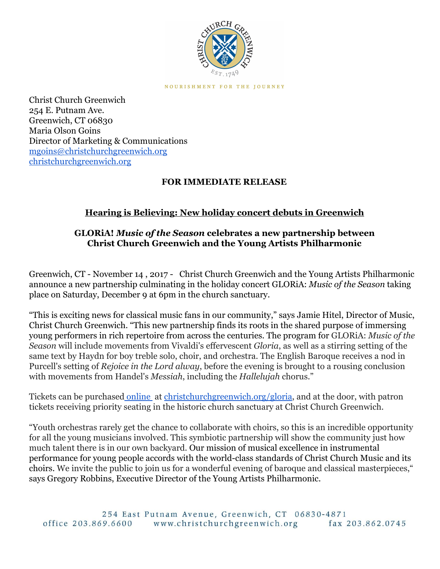

NOURISHMENT FOR THE JOURNEY

Christ Church Greenwich 254 E. Putnam Ave. Greenwich, CT 06830 Maria Olson Goins Director of Marketing & Communications [mgoins@christchurchgreenwich.org](mailto:mgoins@christchurchgreenwich.org) [christchurchgreenwich.org](http://christchurchgreenwich.org/)

## **FOR IMMEDIATE RELEASE**

## **Hearing is Believing: New holiday concert debuts in Greenwich**

## **GLORiA!** *Music of the Season* **celebrates a new partnership between Christ Church Greenwich and the Young Artists Philharmonic**

Greenwich, CT - November 14 , 2017 - Christ Church Greenwich and the Young Artists Philharmonic announce a new partnership culminating in the holiday concert GLORiA: *Music of the Season* taking place on Saturday, December 9 at 6pm in the church sanctuary.

"This is exciting news for classical music fans in our community," says Jamie Hitel, Director of Music, Christ Church Greenwich. "This new partnership finds its roots in the shared purpose of immersing young performers in rich repertoire from across the centuries. The program for GLORiA: *Music of the Season* will include movements from Vivaldi's effervescent *Gloria*, as well as a stirring setting of the same text by Haydn for boy treble solo, choir, and orchestra. The English Baroque receives a nod in Purcell's setting of *Rejoice in the Lord alway*, before the evening is brought to a rousing conclusion with movements from Handel's *Messiah*, including the *Hallelujah* chorus."

Tickets can be purchased [online](http://christchurchgreenwich.org/gloria/) at [christchurchgreenwich.org/gloria](http://christchurchgreenwich.org/gloria/), and at the door, with patron tickets receiving priority seating in the historic church sanctuary at Christ Church Greenwich.

"Youth orchestras rarely get the chance to collaborate with choirs, so this is an incredible opportunity for all the young musicians involved. This symbiotic partnership will show the community just how much talent there is in our own backyard. Our mission of musical excellence in instrumental performance for young people accords with the world-class standards of Christ Church Music and its choirs. We invite the public to join us for a wonderful evening of baroque and classical masterpieces," says Gregory Robbins, Executive Director of the Young Artists Philharmonic.